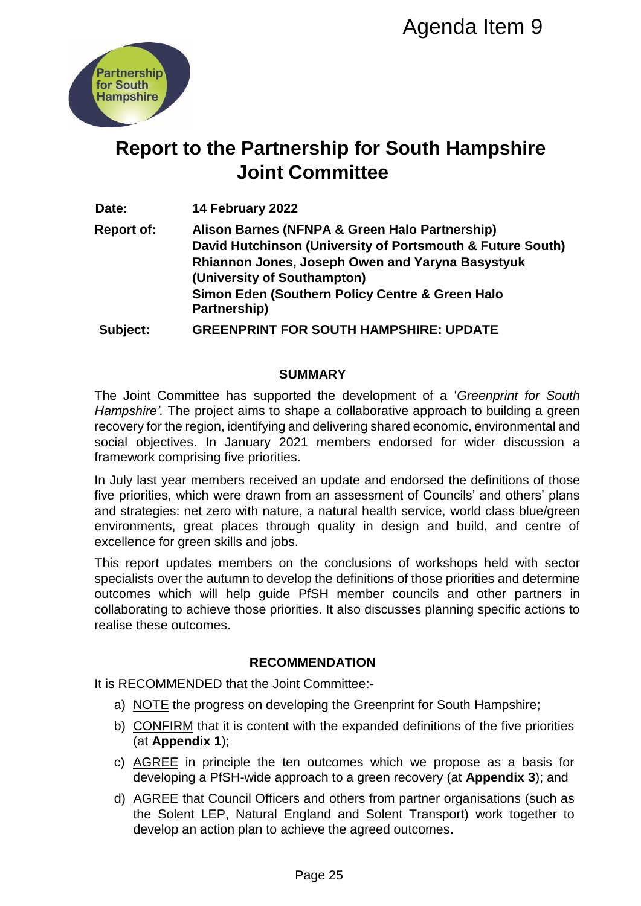

# **Report to the Partnership for South Hampshire Joint Committee**

**Date: 14 February 2022**

**Report of: Alison Barnes (NFNPA & Green Halo Partnership) David Hutchinson (University of Portsmouth & Future South) Rhiannon Jones, Joseph Owen and Yaryna Basystyuk (University of Southampton) Simon Eden (Southern Policy Centre & Green Halo Partnership)** Agenda Item 9<br>
Priship for South Hampshire<br>
Privar A Green Halo Partnership)<br>
PRIFAPA & Green Halo Partnership)<br>
1 (University of Portsmouth & Future So<br>
1 Joseph Owen and Yaryna Basystyuk<br>
uthampton)<br>
DR SOUTH HAMPSHIRE:

**Subject: GREENPRINT FOR SOUTH HAMPSHIRE: UPDATE** 

## **SUMMARY**

The Joint Committee has supported the development of a '*Greenprint for South Hampshire'.* The project aims to shape a collaborative approach to building a green recovery for the region, identifying and delivering shared economic, environmental and social objectives. In January 2021 members endorsed for wider discussion a framework comprising five priorities.

In July last year members received an update and endorsed the definitions of those five priorities, which were drawn from an assessment of Councils' and others' plans and strategies: net zero with nature, a natural health service, world class blue/green environments, great places through quality in design and build, and centre of excellence for green skills and jobs.

This report updates members on the conclusions of workshops held with sector specialists over the autumn to develop the definitions of those priorities and determine outcomes which will help guide PfSH member councils and other partners in collaborating to achieve those priorities. It also discusses planning specific actions to realise these outcomes.

## **RECOMMENDATION**

It is RECOMMENDED that the Joint Committee:-

- a) NOTE the progress on developing the Greenprint for South Hampshire;
- b) CONFIRM that it is content with the expanded definitions of the five priorities (at **Appendix 1**);
- c) AGREE in principle the ten outcomes which we propose as a basis for developing a PfSH-wide approach to a green recovery (at **Appendix 3**); and
- d) AGREE that Council Officers and others from partner organisations (such as the Solent LEP, Natural England and Solent Transport) work together to develop an action plan to achieve the agreed outcomes.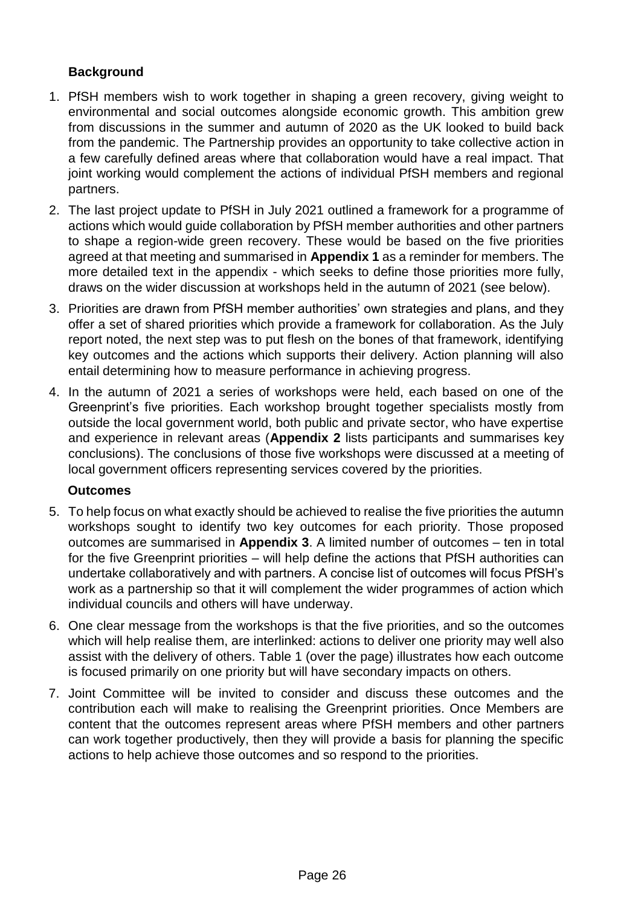## **Background**

- 1. PfSH members wish to work together in shaping a green recovery, giving weight to environmental and social outcomes alongside economic growth. This ambition grew from discussions in the summer and autumn of 2020 as the UK looked to build back from the pandemic. The Partnership provides an opportunity to take collective action in a few carefully defined areas where that collaboration would have a real impact. That joint working would complement the actions of individual PfSH members and regional partners.
- 2. The last project update to PfSH in July 2021 outlined a framework for a programme of actions which would guide collaboration by PfSH member authorities and other partners to shape a region-wide green recovery. These would be based on the five priorities agreed at that meeting and summarised in **Appendix 1** as a reminder for members. The more detailed text in the appendix - which seeks to define those priorities more fully, draws on the wider discussion at workshops held in the autumn of 2021 (see below).
- 3. Priorities are drawn from PfSH member authorities' own strategies and plans, and they offer a set of shared priorities which provide a framework for collaboration. As the July report noted, the next step was to put flesh on the bones of that framework, identifying key outcomes and the actions which supports their delivery. Action planning will also entail determining how to measure performance in achieving progress.
- 4. In the autumn of 2021 a series of workshops were held, each based on one of the Greenprint's five priorities. Each workshop brought together specialists mostly from outside the local government world, both public and private sector, who have expertise and experience in relevant areas (**Appendix 2** lists participants and summarises key conclusions). The conclusions of those five workshops were discussed at a meeting of local government officers representing services covered by the priorities.

#### **Outcomes**

- 5. To help focus on what exactly should be achieved to realise the five priorities the autumn workshops sought to identify two key outcomes for each priority. Those proposed outcomes are summarised in **Appendix 3**. A limited number of outcomes – ten in total for the five Greenprint priorities – will help define the actions that PfSH authorities can undertake collaboratively and with partners. A concise list of outcomes will focus PfSH's work as a partnership so that it will complement the wider programmes of action which individual councils and others will have underway.
- 6. One clear message from the workshops is that the five priorities, and so the outcomes which will help realise them, are interlinked: actions to deliver one priority may well also assist with the delivery of others. Table 1 (over the page) illustrates how each outcome is focused primarily on one priority but will have secondary impacts on others.
- 7. Joint Committee will be invited to consider and discuss these outcomes and the contribution each will make to realising the Greenprint priorities. Once Members are content that the outcomes represent areas where PfSH members and other partners can work together productively, then they will provide a basis for planning the specific actions to help achieve those outcomes and so respond to the priorities.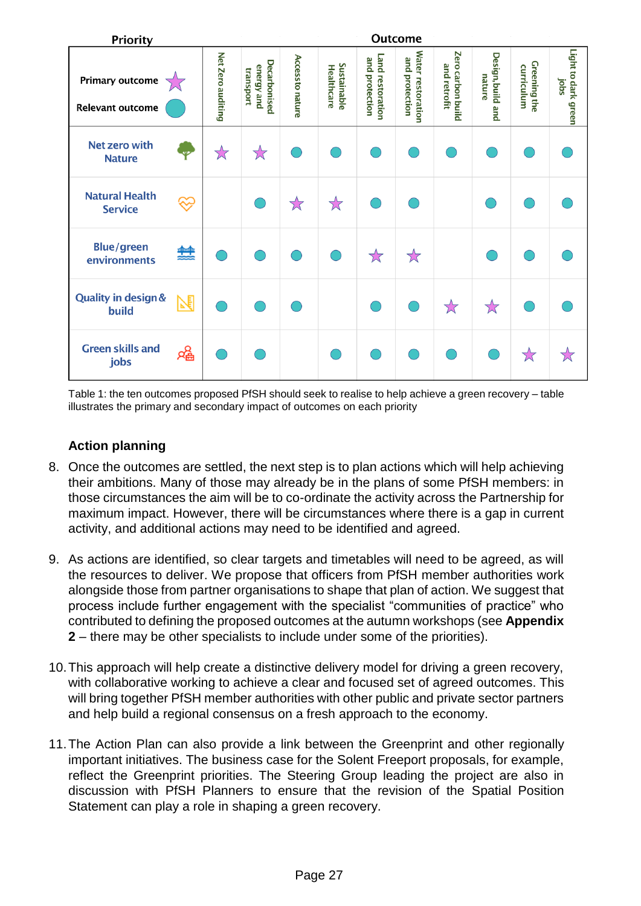| <b>Priority</b>                                   |      | <b>Outcome</b>    |                                                |                         |                           |                                    |                                            |                                   |                             |                                   |                             |
|---------------------------------------------------|------|-------------------|------------------------------------------------|-------------------------|---------------------------|------------------------------------|--------------------------------------------|-----------------------------------|-----------------------------|-----------------------------------|-----------------------------|
| <b>Primary outcome</b><br><b>Relevant outcome</b> |      | Net Zero auditing | <b>Decarbonised</b><br>energy and<br>transport | <b>Access to nature</b> | Sustainable<br>Healthcare | Land restoration<br>and protection | <b>Water restoration</b><br>and protection | Zero carbon build<br>and retrofit | Design, build and<br>nature | <b>Greening the</b><br>curriculum | Light to dark green<br>saoi |
| Net zero with<br><b>Nature</b>                    |      | ☆                 | $\breve{\rtimes}$                              |                         |                           |                                    |                                            |                                   |                             |                                   |                             |
| <b>Natural Health</b><br><b>Service</b>           |      |                   |                                                | $\forall$               | $\stackrel{\sim}{\times}$ |                                    |                                            |                                   |                             |                                   |                             |
| <b>Blue/green</b><br>environments                 | 盤    |                   |                                                |                         |                           | $\overleftrightarrow{\lambda}$     | ☆                                          |                                   |                             |                                   |                             |
| <b>Quality in design &amp;</b><br>build           |      |                   |                                                |                         |                           |                                    |                                            | ☆                                 | $\stackrel{\wedge}{\times}$ |                                   |                             |
| <b>Green skills and</b><br>jobs                   | ਖ੍ਰਵ |                   |                                                |                         |                           |                                    |                                            |                                   |                             | 饮                                 |                             |

Table 1: the ten outcomes proposed PfSH should seek to realise to help achieve a green recovery – table illustrates the primary and secondary impact of outcomes on each priority

## **Action planning**

- 8. Once the outcomes are settled, the next step is to plan actions which will help achieving their ambitions. Many of those may already be in the plans of some PfSH members: in those circumstances the aim will be to co-ordinate the activity across the Partnership for maximum impact. However, there will be circumstances where there is a gap in current activity, and additional actions may need to be identified and agreed.
- 9. As actions are identified, so clear targets and timetables will need to be agreed, as will the resources to deliver. We propose that officers from PfSH member authorities work alongside those from partner organisations to shape that plan of action. We suggest that process include further engagement with the specialist "communities of practice" who contributed to defining the proposed outcomes at the autumn workshops (see **Appendix 2** – there may be other specialists to include under some of the priorities).
- 10.This approach will help create a distinctive delivery model for driving a green recovery, with collaborative working to achieve a clear and focused set of agreed outcomes. This will bring together PfSH member authorities with other public and private sector partners and help build a regional consensus on a fresh approach to the economy.
- 11.The Action Plan can also provide a link between the Greenprint and other regionally important initiatives. The business case for the Solent Freeport proposals, for example, reflect the Greenprint priorities. The Steering Group leading the project are also in discussion with PfSH Planners to ensure that the revision of the Spatial Position Statement can play a role in shaping a green recovery.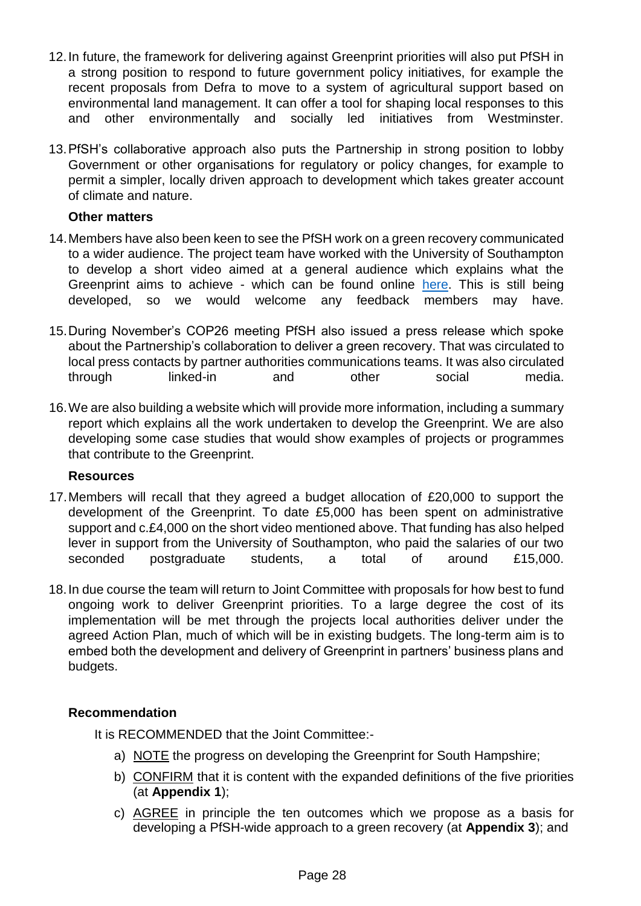- 12.In future, the framework for delivering against Greenprint priorities will also put PfSH in a strong position to respond to future government policy initiatives, for example the recent proposals from Defra to move to a system of agricultural support based on environmental land management. It can offer a tool for shaping local responses to this and other environmentally and socially led initiatives from Westminster.
- 13.PfSH's collaborative approach also puts the Partnership in strong position to lobby Government or other organisations for regulatory or policy changes, for example to permit a simpler, locally driven approach to development which takes greater account of climate and nature.

#### **Other matters**

- 14.Members have also been keen to see the PfSH work on a green recovery communicated to a wider audience. The project team have worked with the University of Southampton to develop a short video aimed at a general audience which explains what the Greenprint aims to achieve - which can be found online [here.](https://vimeo.com/notwfilms/review/664687689/a4668e630a) This is still being developed, so we would welcome any feedback members may have.
- 15.During November's COP26 meeting PfSH also issued a press release which spoke about the Partnership's collaboration to deliver a green recovery. That was circulated to local press contacts by partner authorities communications teams. It was also circulated through linked-in and other social media.
- 16.We are also building a website which will provide more information, including a summary report which explains all the work undertaken to develop the Greenprint. We are also developing some case studies that would show examples of projects or programmes that contribute to the Greenprint.

#### **Resources**

- 17.Members will recall that they agreed a budget allocation of £20,000 to support the development of the Greenprint. To date £5,000 has been spent on administrative support and c.£4,000 on the short video mentioned above. That funding has also helped lever in support from the University of Southampton, who paid the salaries of our two seconded postgraduate students, a total of around £15,000.
- 18.In due course the team will return to Joint Committee with proposals for how best to fund ongoing work to deliver Greenprint priorities. To a large degree the cost of its implementation will be met through the projects local authorities deliver under the agreed Action Plan, much of which will be in existing budgets. The long-term aim is to embed both the development and delivery of Greenprint in partners' business plans and budgets.

## **Recommendation**

It is RECOMMENDED that the Joint Committee:-

- a) NOTE the progress on developing the Greenprint for South Hampshire;
- b) CONFIRM that it is content with the expanded definitions of the five priorities (at **Appendix 1**);
- c) AGREE in principle the ten outcomes which we propose as a basis for developing a PfSH-wide approach to a green recovery (at **Appendix 3**); and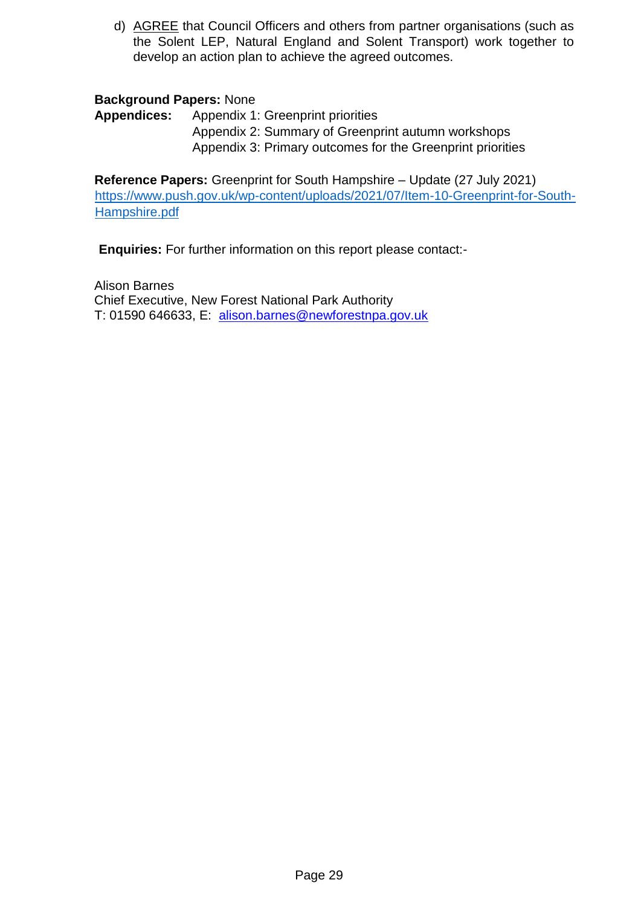d) AGREE that Council Officers and others from partner organisations (such as the Solent LEP, Natural England and Solent Transport) work together to develop an action plan to achieve the agreed outcomes.

#### **Background Papers:** None

**Appendices:** Appendix 1: Greenprint priorities Appendix 2: Summary of Greenprint autumn workshops Appendix 3: Primary outcomes for the Greenprint priorities

**Reference Papers:** Greenprint for South Hampshire – Update (27 July 2021) [https://www.push.gov.uk/wp-content/uploads/2021/07/Item-10-Greenprint-for-South-](https://www.push.gov.uk/wp-content/uploads/2021/07/Item-10-Greenprint-for-South-Hampshire.pdf)[Hampshire.pdf](https://www.push.gov.uk/wp-content/uploads/2021/07/Item-10-Greenprint-for-South-Hampshire.pdf)

**Enquiries:** For further information on this report please contact:-

Alison Barnes Chief Executive, New Forest National Park Authority T: 01590 646633, E: alison.barnes@newforestnpa.gov.uk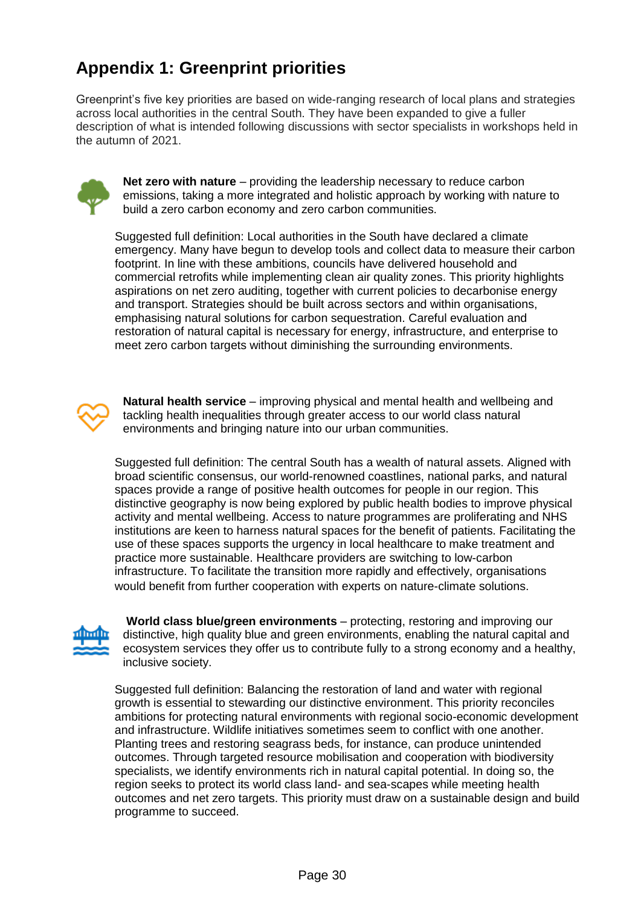# **Appendix 1: Greenprint priorities**

Greenprint's five key priorities are based on wide-ranging research of local plans and strategies across local authorities in the central South. They have been expanded to give a fuller description of what is intended following discussions with sector specialists in workshops held in the autumn of 2021.



**Net zero with nature** – providing the leadership necessary to reduce carbon emissions, taking a more integrated and holistic approach by working with nature to build a zero carbon economy and zero carbon communities.

Suggested full definition: Local authorities in the South have declared a climate emergency. Many have begun to develop tools and collect data to measure their carbon footprint. In line with these ambitions, councils have delivered household and commercial retrofits while implementing clean air quality zones. This priority highlights aspirations on net zero auditing, together with current policies to decarbonise energy and transport. Strategies should be built across sectors and within organisations, emphasising natural solutions for carbon sequestration. Careful evaluation and restoration of natural capital is necessary for energy, infrastructure, and enterprise to meet zero carbon targets without diminishing the surrounding environments.



**Natural health service** – improving physical and mental health and wellbeing and tackling health inequalities through greater access to our world class natural environments and bringing nature into our urban communities.

Suggested full definition: The central South has a wealth of natural assets. Aligned with broad scientific consensus, our world-renowned coastlines, national parks, and natural spaces provide a range of positive health outcomes for people in our region. This distinctive geography is now being explored by public health bodies to improve physical activity and mental wellbeing. Access to nature programmes are proliferating and NHS institutions are keen to harness natural spaces for the benefit of patients. Facilitating the use of these spaces supports the urgency in local healthcare to make treatment and practice more sustainable. Healthcare providers are switching to low-carbon infrastructure. To facilitate the transition more rapidly and effectively, organisations would benefit from further cooperation with experts on nature-climate solutions.



**World class blue/green environments** – protecting, restoring and improving our distinctive, high quality blue and green environments, enabling the natural capital and ecosystem services they offer us to contribute fully to a strong economy and a healthy, inclusive society.

Suggested full definition: Balancing the restoration of land and water with regional growth is essential to stewarding our distinctive environment. This priority reconciles ambitions for protecting natural environments with regional socio-economic development and infrastructure. Wildlife initiatives sometimes seem to conflict with one another. Planting trees and restoring seagrass beds, for instance, can produce unintended outcomes. Through targeted resource mobilisation and cooperation with biodiversity specialists, we identify environments rich in natural capital potential. In doing so, the region seeks to protect its world class land- and sea-scapes while meeting health outcomes and net zero targets. This priority must draw on a sustainable design and build programme to succeed.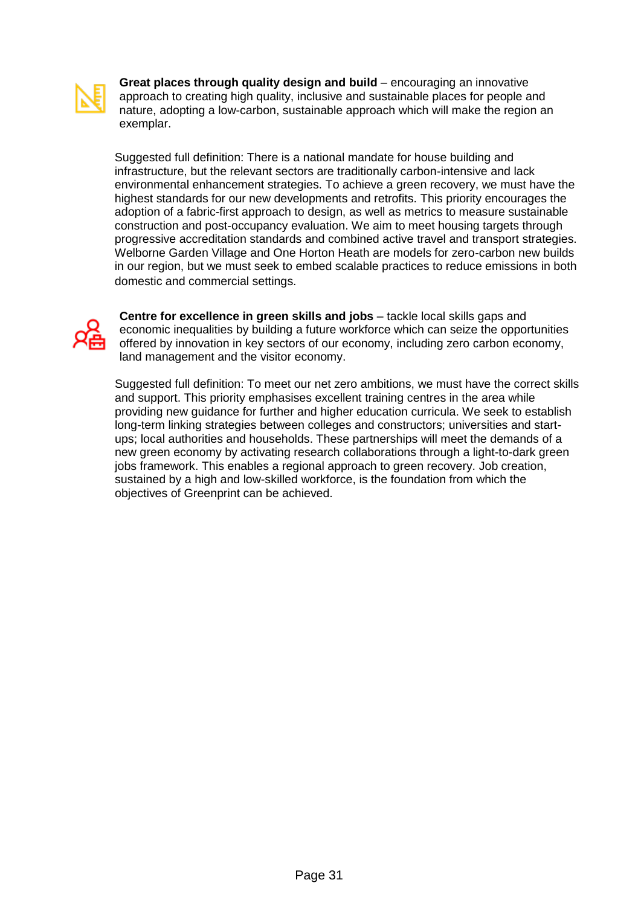

**Great places through quality design and build** – encouraging an innovative approach to creating high quality, inclusive and sustainable places for people and nature, adopting a low-carbon, sustainable approach which will make the region an exemplar.

Suggested full definition: There is a national mandate for house building and infrastructure, but the relevant sectors are traditionally carbon-intensive and lack environmental enhancement strategies. To achieve a green recovery, we must have the highest standards for our new developments and retrofits. This priority encourages the adoption of a fabric-first approach to design, as well as metrics to measure sustainable construction and post-occupancy evaluation. We aim to meet housing targets through progressive accreditation standards and combined active travel and transport strategies. Welborne Garden Village and One Horton Heath are models for zero-carbon new builds in our region, but we must seek to embed scalable practices to reduce emissions in both domestic and commercial settings.



**Centre for excellence in green skills and jobs** – tackle local skills gaps and economic inequalities by building a future workforce which can seize the opportunities offered by innovation in key sectors of our economy, including zero carbon economy, land management and the visitor economy.

Suggested full definition: To meet our net zero ambitions, we must have the correct skills and support. This priority emphasises excellent training centres in the area while providing new guidance for further and higher education curricula. We seek to establish long-term linking strategies between colleges and constructors; universities and startups; local authorities and households. These partnerships will meet the demands of a new green economy by activating research collaborations through a light-to-dark green jobs framework. This enables a regional approach to green recovery. Job creation, sustained by a high and low-skilled workforce, is the foundation from which the objectives of Greenprint can be achieved.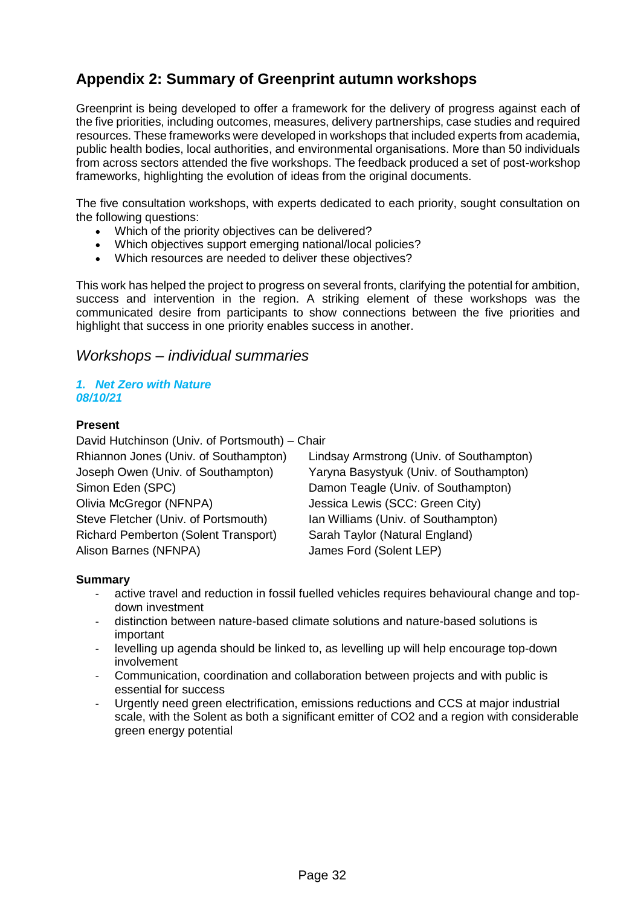## **Appendix 2: Summary of Greenprint autumn workshops**

Greenprint is being developed to offer a framework for the delivery of progress against each of the five priorities, including outcomes, measures, delivery partnerships, case studies and required resources. These frameworks were developed in workshops that included experts from academia, public health bodies, local authorities, and environmental organisations. More than 50 individuals from across sectors attended the five workshops. The feedback produced a set of post-workshop frameworks, highlighting the evolution of ideas from the original documents.

The five consultation workshops, with experts dedicated to each priority, sought consultation on the following questions:

- Which of the priority objectives can be delivered?
- Which objectives support emerging national/local policies?
- Which resources are needed to deliver these objectives?

This work has helped the project to progress on several fronts, clarifying the potential for ambition, success and intervention in the region. A striking element of these workshops was the communicated desire from participants to show connections between the five priorities and highlight that success in one priority enables success in another.

### *Workshops – individual summaries*

#### *1. Net Zero with Nature 08/10/21*

#### **Present**

David Hutchinson (Univ. of Portsmouth) – Chair Joseph Owen (Univ. of Southampton) Yaryna Basystyuk (Univ. of Southampton) Simon Eden (SPC) Damon Teagle (Univ. of Southampton) Olivia McGregor (NFNPA) Jessica Lewis (SCC: Green City) Steve Fletcher (Univ. of Portsmouth) Ian Williams (Univ. of Southampton) Richard Pemberton (Solent Transport) Sarah Taylor (Natural England) Alison Barnes (NFNPA) James Ford (Solent LEP)

Rhiannon Jones (Univ. of Southampton) Lindsay Armstrong (Univ. of Southampton)

#### **Summary**

- active travel and reduction in fossil fuelled vehicles requires behavioural change and topdown investment
- distinction between nature-based climate solutions and nature-based solutions is important
- levelling up agenda should be linked to, as levelling up will help encourage top-down involvement
- Communication, coordination and collaboration between projects and with public is essential for success
- Urgently need green electrification, emissions reductions and CCS at major industrial scale, with the Solent as both a significant emitter of CO2 and a region with considerable green energy potential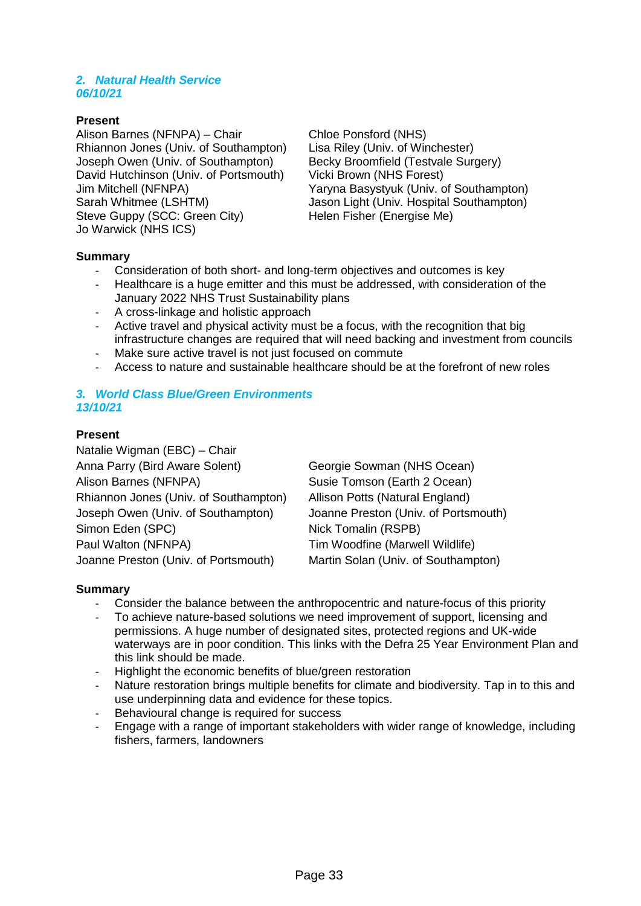#### *2. Natural Health Service 06/10/21*

#### **Present**

Alison Barnes (NFNPA) – Chair Chloe Ponsford (NHS) Rhiannon Jones (Univ. of Southampton) Lisa Riley (Univ. of Winchester)<br>Joseph Owen (Univ. of Southampton) Becky Broomfield (Testvale Surgery) Joseph Owen (Univ. of Southampton) David Hutchinson (Univ. of Portsmouth) Vicki Brown (NHS Forest) Steve Guppy (SCC: Green City) Helen Fisher (Energise Me) Jo Warwick (NHS ICS)

Jim Mitchell (NFNPA) Yaryna Basystyuk (Univ. of Southampton) Sarah Whitmee (LSHTM) Jason Light (Univ. Hospital Southampton)

#### **Summary**

- Consideration of both short- and long-term objectives and outcomes is key
- Healthcare is a huge emitter and this must be addressed, with consideration of the January 2022 NHS Trust Sustainability plans
- A cross-linkage and holistic approach
- Active travel and physical activity must be a focus, with the recognition that big infrastructure changes are required that will need backing and investment from councils
- Make sure active travel is not just focused on commute
- Access to nature and sustainable healthcare should be at the forefront of new roles

#### *3. World Class Blue/Green Environments 13/10/21*

#### **Present**

Natalie Wigman (EBC) – Chair Anna Parry (Bird Aware Solent) Georgie Sowman (NHS Ocean) Alison Barnes (NFNPA) Susie Tomson (Earth 2 Ocean) Rhiannon Jones (Univ. of Southampton) Allison Potts (Natural England) Joseph Owen (Univ. of Southampton) Joanne Preston (Univ. of Portsmouth) Simon Eden (SPC) Nick Tomalin (RSPB) Paul Walton (NFNPA) Tim Woodfine (Marwell Wildlife) Joanne Preston (Univ. of Portsmouth) Martin Solan (Univ. of Southampton)

#### **Summary**

- Consider the balance between the anthropocentric and nature-focus of this priority
- To achieve nature-based solutions we need improvement of support, licensing and permissions. A huge number of designated sites, protected regions and UK-wide waterways are in poor condition. This links with the Defra 25 Year Environment Plan and this link should be made.
- Highlight the economic benefits of blue/green restoration
- Nature restoration brings multiple benefits for climate and biodiversity. Tap in to this and use underpinning data and evidence for these topics.
- Behavioural change is required for success
- Engage with a range of important stakeholders with wider range of knowledge, including fishers, farmers, landowners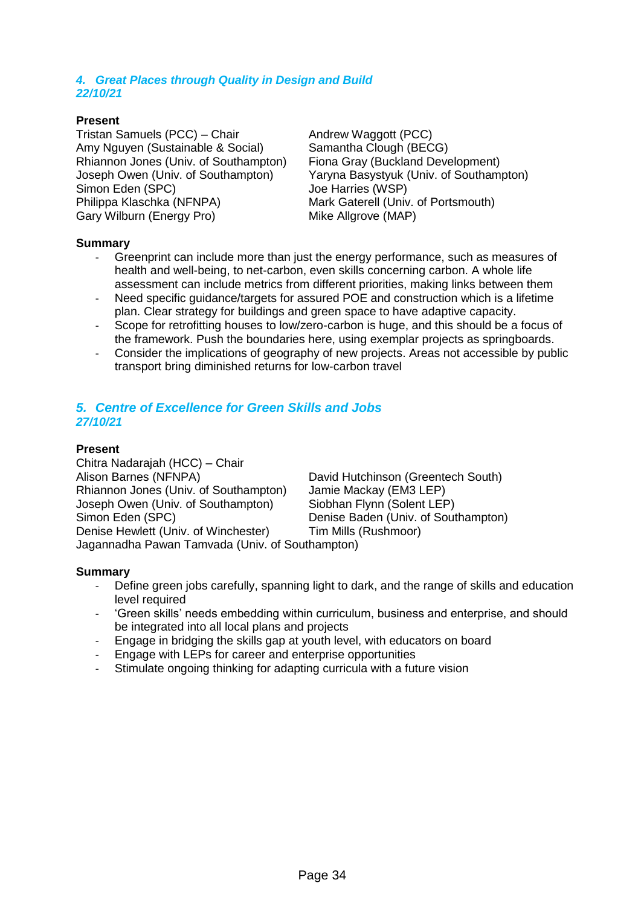#### *4. Great Places through Quality in Design and Build 22/10/21*

#### **Present**

Tristan Samuels (PCC) – Chair Andrew Waggott (PCC) Amy Nguyen (Sustainable & Social) Samantha Clough (BECG) Rhiannon Jones (Univ. of Southampton) Fiona Gray (Buckland Development) Simon Eden (SPC) Simon Eden (SPC) Philippa Klaschka (NFNPA) Mark Gaterell (Univ. of Portsmouth) Gary Wilburn (Energy Pro) Mike Allgrove (MAP)

Joseph Owen (Univ. of Southampton) Yaryna Basystyuk (Univ. of Southampton)

#### **Summary**

- Greenprint can include more than just the energy performance, such as measures of health and well-being, to net-carbon, even skills concerning carbon. A whole life assessment can include metrics from different priorities, making links between them
- Need specific guidance/targets for assured POE and construction which is a lifetime plan. Clear strategy for buildings and green space to have adaptive capacity.
- Scope for retrofitting houses to low/zero-carbon is huge, and this should be a focus of the framework. Push the boundaries here, using exemplar projects as springboards.
- Consider the implications of geography of new projects. Areas not accessible by public transport bring diminished returns for low-carbon travel

#### *5. Centre of Excellence for Green Skills and Jobs 27/10/21*

#### **Present**

Chitra Nadarajah (HCC) – Chair Alison Barnes (NFNPA) David Hutchinson (Greentech South) Rhiannon Jones (Univ. of Southampton) Jamie Mackay (EM3 LEP) Joseph Owen (Univ. of Southampton) Siobhan Flynn (Solent LEP) Simon Eden (SPC) Denise Baden (Univ. of Southampton) Denise Hewlett (Univ. of Winchester) Tim Mills (Rushmoor) Jagannadha Pawan Tamvada (Univ. of Southampton)

**Summary**

- Define green jobs carefully, spanning light to dark, and the range of skills and education level required
- 'Green skills' needs embedding within curriculum, business and enterprise, and should be integrated into all local plans and projects
- Engage in bridging the skills gap at youth level, with educators on board
- Engage with LEPs for career and enterprise opportunities
- Stimulate ongoing thinking for adapting curricula with a future vision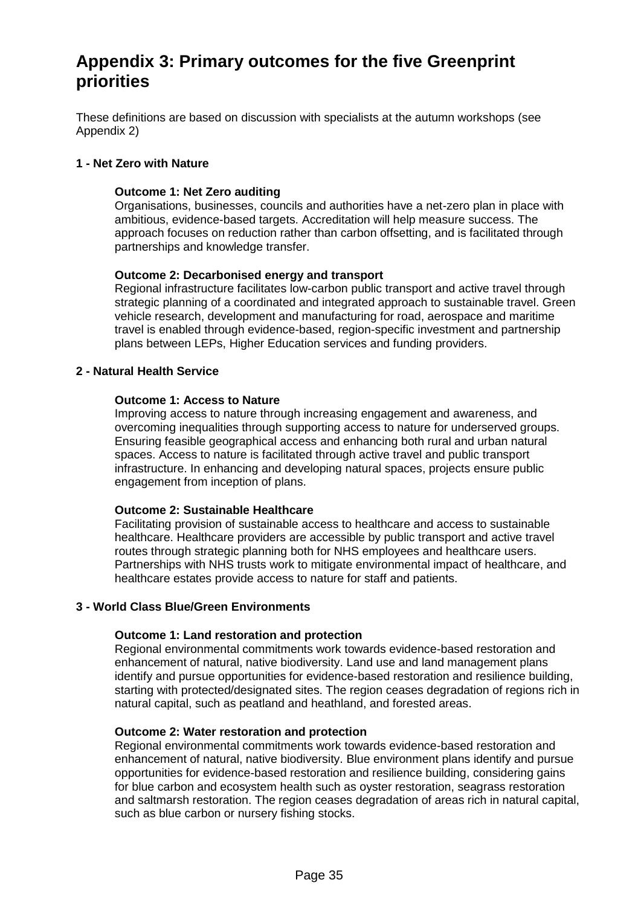## **Appendix 3: Primary outcomes for the five Greenprint priorities**

These definitions are based on discussion with specialists at the autumn workshops (see Appendix 2)

#### **1 - Net Zero with Nature**

#### **Outcome 1: Net Zero auditing**

Organisations, businesses, councils and authorities have a net-zero plan in place with ambitious, evidence-based targets. Accreditation will help measure success. The approach focuses on reduction rather than carbon offsetting, and is facilitated through partnerships and knowledge transfer.

#### **Outcome 2: Decarbonised energy and transport**

Regional infrastructure facilitates low-carbon public transport and active travel through strategic planning of a coordinated and integrated approach to sustainable travel. Green vehicle research, development and manufacturing for road, aerospace and maritime travel is enabled through evidence-based, region-specific investment and partnership plans between LEPs, Higher Education services and funding providers.

#### **2 - Natural Health Service**

#### **Outcome 1: Access to Nature**

Improving access to nature through increasing engagement and awareness, and overcoming inequalities through supporting access to nature for underserved groups. Ensuring feasible geographical access and enhancing both rural and urban natural spaces. Access to nature is facilitated through active travel and public transport infrastructure. In enhancing and developing natural spaces, projects ensure public engagement from inception of plans.

#### **Outcome 2: Sustainable Healthcare**

Facilitating provision of sustainable access to healthcare and access to sustainable healthcare. Healthcare providers are accessible by public transport and active travel routes through strategic planning both for NHS employees and healthcare users. Partnerships with NHS trusts work to mitigate environmental impact of healthcare, and healthcare estates provide access to nature for staff and patients.

#### **3 - World Class Blue/Green Environments**

#### **Outcome 1: Land restoration and protection**

Regional environmental commitments work towards evidence-based restoration and enhancement of natural, native biodiversity. Land use and land management plans identify and pursue opportunities for evidence-based restoration and resilience building, starting with protected/designated sites. The region ceases degradation of regions rich in natural capital, such as peatland and heathland, and forested areas.

#### **Outcome 2: Water restoration and protection**

Regional environmental commitments work towards evidence-based restoration and enhancement of natural, native biodiversity. Blue environment plans identify and pursue opportunities for evidence-based restoration and resilience building, considering gains for blue carbon and ecosystem health such as oyster restoration, seagrass restoration and saltmarsh restoration. The region ceases degradation of areas rich in natural capital, such as blue carbon or nursery fishing stocks.